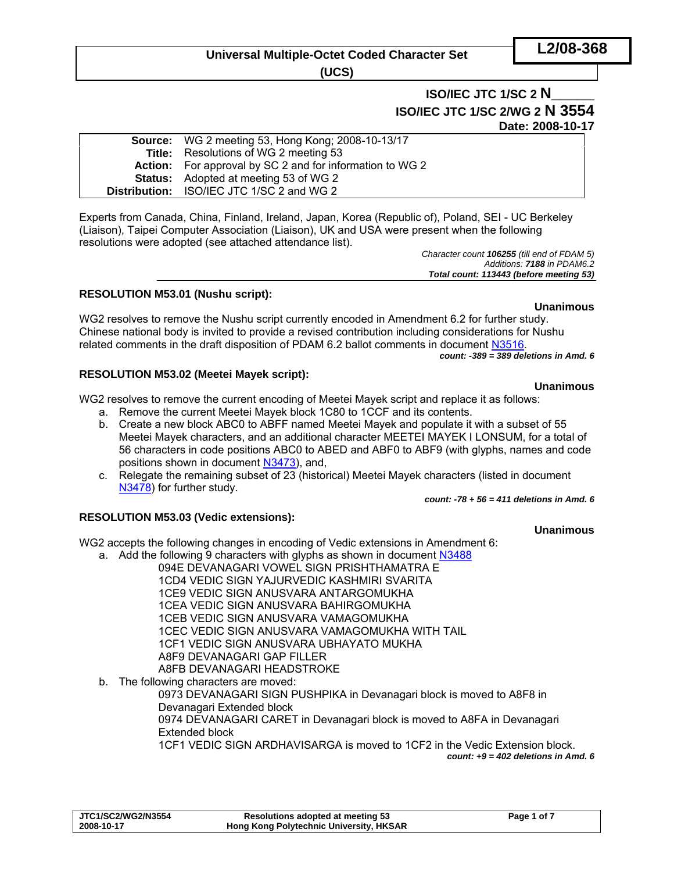# **Universal Multiple-Octet Coded Character Set**

**(UCS)** 

# **ISO/IEC JTC 1/SC 2 N\_\_\_\_\_ ISO/IEC JTC 1/SC 2/WG 2 N 3554 Date: 2008-10-17**

| <b>Source:</b> WG 2 meeting 53, Hong Kong; 2008-10-13/17        |
|-----------------------------------------------------------------|
| <b>Title:</b> Resolutions of WG 2 meeting 53                    |
| <b>Action:</b> For approval by SC 2 and for information to WG 2 |
| <b>Status:</b> Adopted at meeting 53 of WG 2                    |
| Distribution: ISO/IEC JTC 1/SC 2 and WG 2                       |
|                                                                 |

Experts from Canada, China, Finland, Ireland, Japan, Korea (Republic of), Poland, SEI - UC Berkeley (Liaison), Taipei Computer Association (Liaison), UK and USA were present when the following resolutions were adopted (see attached attendance list).

*Character count 106255 (till end of FDAM 5) Additions: 7188 in PDAM6.2 Total count: 113443 (before meeting 53)* 

### **RESOLUTION M53.01 (Nushu script):**

WG2 resolves to remove the Nushu script currently encoded in Amendment 6.2 for further study. Chinese national body is invited to provide a revised contribution including considerations for Nushu related comments in the draft disposition of PDAM 6.2 ballot comments in document N3516.

#### *count: -389 = 389 deletions in Amd. 6*

#### **RESOLUTION M53.02 (Meetei Mayek script):**

WG2 resolves to remove the current encoding of Meetei Mayek script and replace it as follows:

- a. Remove the current Meetei Mayek block 1C80 to 1CCF and its contents.
- b. Create a new block ABC0 to ABFF named Meetei Mayek and populate it with a subset of 55 Meetei Mayek characters, and an additional character MEETEI MAYEK I LONSUM, for a total of 56 characters in code positions ABC0 to ABED and ABF0 to ABF9 (with glyphs, names and code positions shown in document N3473), and,
- c. Relegate the remaining subset of 23 (historical) Meetei Mayek characters (listed in document N3478) for further study.

*count: -78 + 56 = 411 deletions in Amd. 6*

### **RESOLUTION M53.03 (Vedic extensions):**

WG2 accepts the following changes in encoding of Vedic extensions in Amendment 6:

- a. Add the following 9 characters with glyphs as shown in document N3488
	- 094E DEVANAGARI VOWEL SIGN PRISHTHAMATRA E 1CD4 VEDIC SIGN YAJURVEDIC KASHMIRI SVARITA
		- 1CE9 VEDIC SIGN ANUSVARA ANTARGOMUKHA
		- 1CEA VEDIC SIGN ANUSVARA BAHIRGOMUKHA
		-
		- 1CEB VEDIC SIGN ANUSVARA VAMAGOMUKHA
		- 1CEC VEDIC SIGN ANUSVARA VAMAGOMUKHA WITH TAIL
		- 1CF1 VEDIC SIGN ANUSVARA UBHAYATO MUKHA
			- A8F9 DEVANAGARI GAP FILLER
		- A8FB DEVANAGARI HEADSTROKE
- b. The following characters are moved:

0973 DEVANAGARI SIGN PUSHPIKA in Devanagari block is moved to A8F8 in Devanagari Extended block

0974 DEVANAGARI CARET in Devanagari block is moved to A8FA in Devanagari Extended block

1CF1 VEDIC SIGN ARDHAVISARGA is moved to 1CF2 in the Vedic Extension block.

*count: +9 = 402 deletions in Amd. 6*

| JTC1/SC2/WG2/N3554 | <b>Resolutions adopted at meeting 53</b> | Page 1 of 7 |
|--------------------|------------------------------------------|-------------|
| 2008-10-17         | Hong Kong Polytechnic University, HKSAR  |             |

# **Unanimous**

**Unanimous**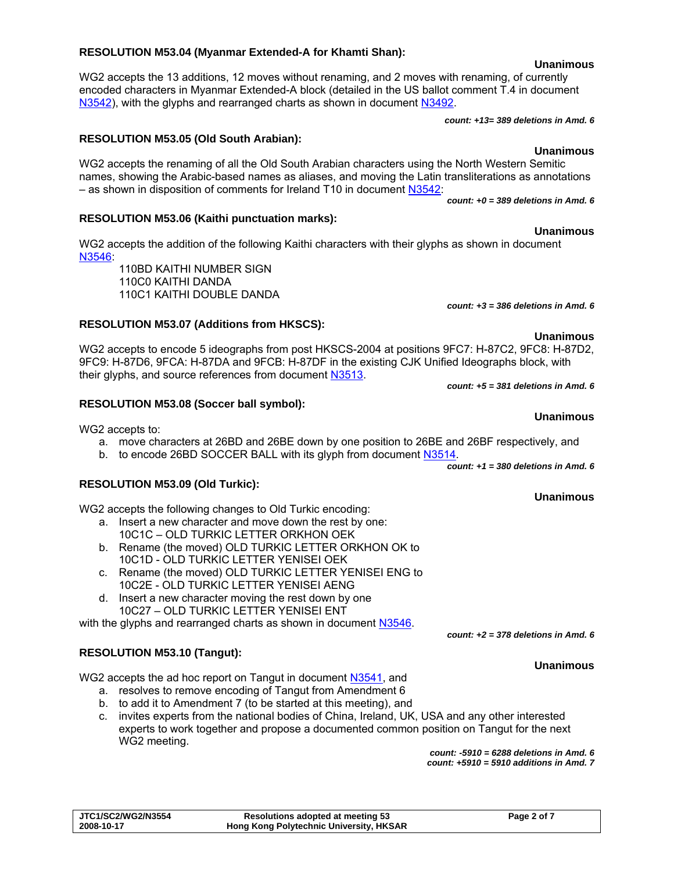#### **RESOLUTION M53.04 (Myanmar Extended-A for Khamti Shan):**

WG2 accepts the 13 additions, 12 moves without renaming, and 2 moves with renaming, of currently encoded characters in Myanmar Extended-A block (detailed in the US ballot comment T.4 in document N3542), with the glyphs and rearranged charts as shown in document N3492.

*count: +13= 389 deletions in Amd. 6*

#### **RESOLUTION M53.05 (Old South Arabian):**

WG2 accepts the renaming of all the Old South Arabian characters using the North Western Semitic names, showing the Arabic-based names as aliases, and moving the Latin transliterations as annotations – as shown in disposition of comments for Ireland T10 in document N3542:

*count: +0 = 389 deletions in Amd. 6*

#### **RESOLUTION M53.06 (Kaithi punctuation marks):**

WG2 accepts the addition of the following Kaithi characters with their glyphs as shown in document N3546:

110BD KAITHI NUMBER SIGN 110C0 KAITHI DANDA 110C1 KAITHI DOUBLE DANDA

#### **RESOLUTION M53.07 (Additions from HKSCS):**

WG2 accepts to encode 5 ideographs from post HKSCS-2004 at positions 9FC7: H-87C2, 9FC8: H-87D2, 9FC9: H-87D6, 9FCA: H-87DA and 9FCB: H-87DF in the existing CJK Unified Ideographs block, with their glyphs, and source references from document N3513.

*count: +5 = 381 deletions in Amd. 6* 

#### **RESOLUTION M53.08 (Soccer ball symbol):**

WG2 accepts to:

- a. move characters at 26BD and 26BE down by one position to 26BE and 26BF respectively, and
- b. to encode 26BD SOCCER BALL with its glyph from document N3514. *count: +1 = 380 deletions in Amd. 6*

#### **RESOLUTION M53.09 (Old Turkic):**

WG2 accepts the following changes to Old Turkic encoding:

- a. Insert a new character and move down the rest by one: 10C1C – OLD TURKIC LETTER ORKHON OEK
- b. Rename (the moved) OLD TURKIC LETTER ORKHON OK to 10C1D - OLD TURKIC LETTER YENISEI OEK
- c. Rename (the moved) OLD TURKIC LETTER YENISEI ENG to 10C2E - OLD TURKIC LETTER YENISEI AENG
- d. Insert a new character moving the rest down by one 10C27 – OLD TURKIC LETTER YENISEI ENT

with the glyphs and rearranged charts as shown in document N3546.

### **RESOLUTION M53.10 (Tangut):**

WG2 accepts the ad hoc report on Tangut in document N3541, and

- a. resolves to remove encoding of Tangut from Amendment 6
- b. to add it to Amendment 7 (to be started at this meeting), and
- c. invites experts from the national bodies of China, Ireland, UK, USA and any other interested experts to work together and propose a documented common position on Tangut for the next WG2 meeting.

*count: -5910 = 6288 deletions in Amd. 6 count: +5910 = 5910 additions in Amd. 7* 

**Unanimous** 

*count: +2 = 378 deletions in Amd. 6* 

*count: +3 = 386 deletions in Amd. 6*

# **Unanimous**

#### **Unanimous**

#### **Unanimous**

**Unanimous** 

**Unanimous**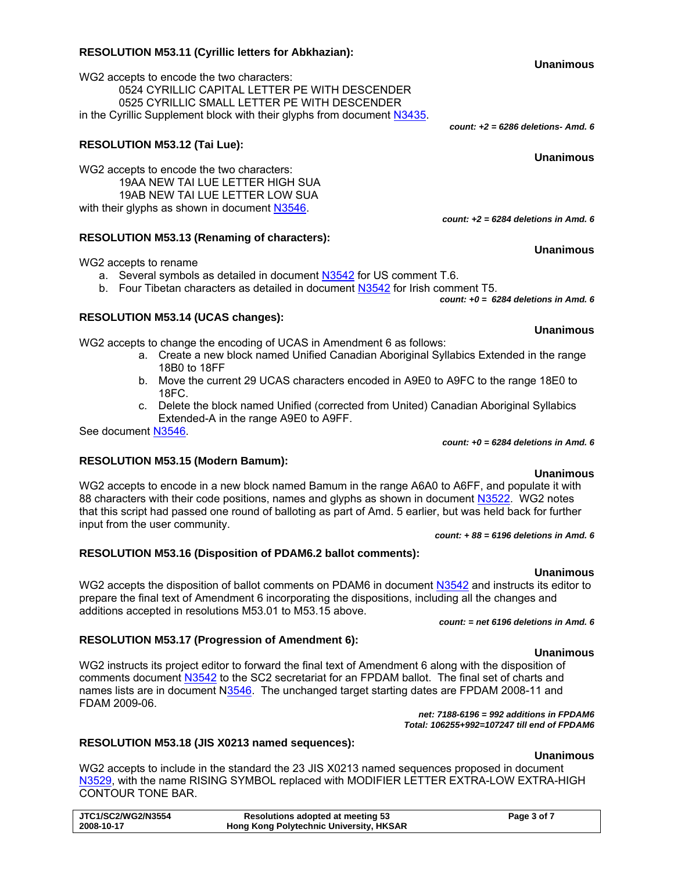#### **RESOLUTION M53.11 (Cyrillic letters for Abkhazian):**

WG2 accepts to encode the two characters: 0524 CYRILLIC CAPITAL LETTER PE WITH DESCENDER 0525 CYRILLIC SMALL LETTER PE WITH DESCENDER in the Cyrillic Supplement block with their glyphs from document N3435.

### **RESOLUTION M53.12 (Tai Lue):**

WG2 accepts to encode the two characters: 19AA NEW TAI LUE LETTER HIGH SUA 19AB NEW TAI LUE LETTER LOW SUA with their glyphs as shown in document N3546.

#### **RESOLUTION M53.13 (Renaming of characters):**

WG2 accepts to rename

a. Several symbols as detailed in document N3542 for US comment T.6.

b. Four Tibetan characters as detailed in document N3542 for Irish comment T5.

*count: +0 = 6284 deletions in Amd. 6* 

#### **RESOLUTION M53.14 (UCAS changes):**

**RESOLUTION M53.15 (Modern Bamum):** 

WG2 accepts to change the encoding of UCAS in Amendment 6 as follows:

- a. Create a new block named Unified Canadian Aboriginal Syllabics Extended in the range 18B0 to 18FF
- b. Move the current 29 UCAS characters encoded in A9E0 to A9FC to the range 18E0 to 18FC.
- c. Delete the block named Unified (corrected from United) Canadian Aboriginal Syllabics Extended-A in the range A9E0 to A9FF.

See document N3546.

### *count: +0 = 6284 deletions in Amd. 6*

### **Unanimous**

WG2 accepts to encode in a new block named Bamum in the range A6A0 to A6FF, and populate it with 88 characters with their code positions, names and glyphs as shown in document N3522. WG2 notes that this script had passed one round of balloting as part of Amd. 5 earlier, but was held back for further input from the user community.

*count: + 88 = 6196 deletions in Amd. 6* 

## **RESOLUTION M53.16 (Disposition of PDAM6.2 ballot comments):**

**Unanimous**  WG2 accepts the disposition of ballot comments on PDAM6 in document N3542 and instructs its editor to prepare the final text of Amendment 6 incorporating the dispositions, including all the changes and additions accepted in resolutions M53.01 to M53.15 above.

*count: = net 6196 deletions in Amd. 6*

# **RESOLUTION M53.17 (Progression of Amendment 6):**

WG2 instructs its project editor to forward the final text of Amendment 6 along with the disposition of comments document N3542 to the SC2 secretariat for an FPDAM ballot. The final set of charts and names lists are in document N3546. The unchanged target starting dates are FPDAM 2008-11 and FDAM 2009-06.

*net: 7188-6196 = 992 additions in FPDAM6 Total: 106255+992=107247 till end of FPDAM6* 

# **RESOLUTION M53.18 (JIS X0213 named sequences):**

WG2 accepts to include in the standard the 23 JIS X0213 named sequences proposed in document N3529, with the name RISING SYMBOL replaced with MODIFIER LETTER EXTRA-LOW EXTRA-HIGH CONTOUR TONE BAR.

**Unanimous** 

*count: +2 = 6284 deletions in Amd. 6* 

*count: +2 = 6286 deletions- Amd. 6* 

#### **Unanimous**

**Unanimous** 

#### **Unanimous**

#### **Unanimous**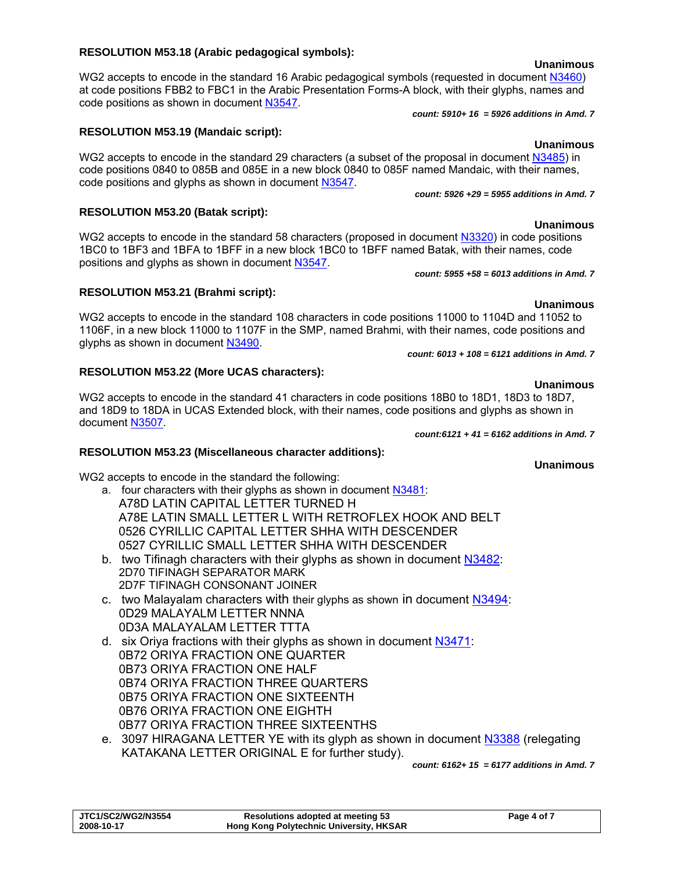# **RESOLUTION M53.21 (Brahmi script):**

WG2 accepts to encode in the standard 108 characters in code positions 11000 to 1104D and 11052 to 1106F, in a new block 11000 to 1107F in the SMP, named Brahmi, with their names, code positions and glyphs as shown in document N3490.

## **RESOLUTION M53.22 (More UCAS characters):**

positions and glyphs as shown in document N3547.

**Unanimous**  WG2 accepts to encode in the standard 41 characters in code positions 18B0 to 18D1, 18D3 to 18D7, and 18D9 to 18DA in UCAS Extended block, with their names, code positions and glyphs as shown in document N3507.

# **RESOLUTION M53.23 (Miscellaneous character additions):**

WG2 accepts to encode in the standard the following:

- a. four characters with their glyphs as shown in document N3481: A78D LATIN CAPITAL LETTER TURNED H A78E LATIN SMALL LETTER L WITH RETROFLEX HOOK AND BELT 0526 CYRILLIC CAPITAL LETTER SHHA WITH DESCENDER 0527 CYRILLIC SMALL LETTER SHHA WITH DESCENDER
- b. two Tifinagh characters with their glyphs as shown in document N3482: 2D70 TIFINAGH SEPARATOR MARK 2D7F TIFINAGH CONSONANT JOINER
- c. two Malayalam characters with their glyphs as shown in document N3494: 0D29 MALAYALM LETTER NNNA 0D3A MALAYALAM LETTER TTTA
- d. six Oriya fractions with their glyphs as shown in document N3471: 0B72 ORIYA FRACTION ONE QUARTER 0B73 ORIYA FRACTION ONE HALF 0B74 ORIYA FRACTION THREE QUARTERS 0B75 ORIYA FRACTION ONE SIXTEENTH 0B76 ORIYA FRACTION ONE EIGHTH 0B77 ORIYA FRACTION THREE SIXTEENTHS
- e. 3097 HIRAGANA LETTER YE with its glyph as shown in document N3388 (relegating KATAKANA LETTER ORIGINAL E for further study).

*count: 6162+ 15 = 6177 additions in Amd. 7*

| <b>JTC1/SC2/WG2/N3554</b> | Resolutions adopted at meeting 53              | Page 4 of 7 |
|---------------------------|------------------------------------------------|-------------|
| 2008-10-17                | <b>Hong Kong Polytechnic University, HKSAR</b> |             |

### **RESOLUTION M53.18 (Arabic pedagogical symbols):**

code positions and glyphs as shown in document N3547.

**RESOLUTION M53.19 (Mandaic script):** 

**RESOLUTION M53.20 (Batak script):** 

WG2 accepts to encode in the standard 16 Arabic pedagogical symbols (requested in document N3460) at code positions FBB2 to FBC1 in the Arabic Presentation Forms-A block, with their glyphs, names and code positions as shown in document N3547.

code positions 0840 to 085B and 085E in a new block 0840 to 085F named Mandaic, with their names,

WG2 accepts to encode in the standard 58 characters (proposed in document N3320) in code positions 1BC0 to 1BF3 and 1BFA to 1BFF in a new block 1BC0 to 1BFF named Batak, with their names, code

*count: 5910+ 16 = 5926 additions in Amd. 7*

*count: 5926 +29 = 5955 additions in Amd. 7*

#### **Unanimous**  WG2 accepts to encode in the standard 29 characters (a subset of the proposal in document N3485) in

**Unanimous** 

# *count: 5955 +58 = 6013 additions in Amd. 7*

## **Unanimous**

# *count: 6013 + 108 = 6121 additions in Amd. 7*

*count:6121 + 41 = 6162 additions in Amd. 7*

**Unanimous**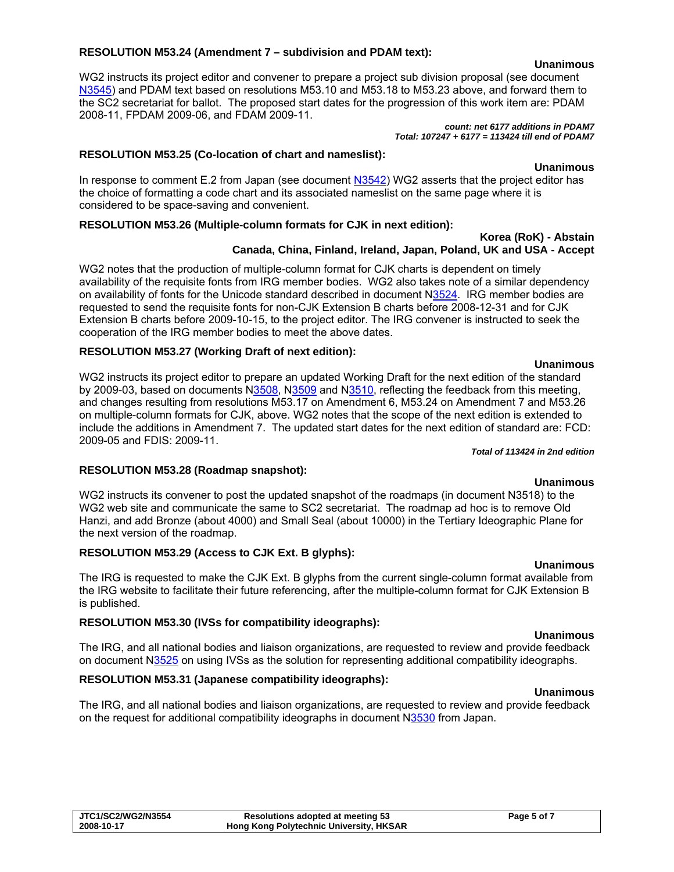#### **RESOLUTION M53.24 (Amendment 7 – subdivision and PDAM text):**

WG2 instructs its project editor and convener to prepare a project sub division proposal (see document N3545) and PDAM text based on resolutions M53.10 and M53.18 to M53.23 above, and forward them to the SC2 secretariat for ballot. The proposed start dates for the progression of this work item are: PDAM 2008-11, FPDAM 2009-06, and FDAM 2009-11.

*count: net 6177 additions in PDAM7 Total: 107247 + 6177 = 113424 till end of PDAM7*

#### **RESOLUTION M53.25 (Co-location of chart and nameslist):**

In response to comment E.2 from Japan (see document N3542) WG2 asserts that the project editor has the choice of formatting a code chart and its associated nameslist on the same page where it is considered to be space-saving and convenient.

### **RESOLUTION M53.26 (Multiple-column formats for CJK in next edition):**

#### **Korea (RoK) - Abstain Canada, China, Finland, Ireland, Japan, Poland, UK and USA - Accept**

WG2 notes that the production of multiple-column format for CJK charts is dependent on timely availability of the requisite fonts from IRG member bodies. WG2 also takes note of a similar dependency on availability of fonts for the Unicode standard described in document N3524. IRG member bodies are requested to send the requisite fonts for non-CJK Extension B charts before 2008-12-31 and for CJK Extension B charts before 2009-10-15, to the project editor. The IRG convener is instructed to seek the cooperation of the IRG member bodies to meet the above dates.

#### **RESOLUTION M53.27 (Working Draft of next edition):**

WG2 instructs its project editor to prepare an updated Working Draft for the next edition of the standard by 2009-03, based on documents N3508, N3509 and N3510, reflecting the feedback from this meeting, and changes resulting from resolutions M53.17 on Amendment 6, M53.24 on Amendment 7 and M53.26 on multiple-column formats for CJK, above. WG2 notes that the scope of the next edition is extended to include the additions in Amendment 7. The updated start dates for the next edition of standard are: FCD: 2009-05 and FDIS: 2009-11.

#### *Total of 113424 in 2nd edition*

### **RESOLUTION M53.28 (Roadmap snapshot):**

WG2 instructs its convener to post the updated snapshot of the roadmaps (in document N3518) to the WG2 web site and communicate the same to SC2 secretariat. The roadmap ad hoc is to remove Old Hanzi, and add Bronze (about 4000) and Small Seal (about 10000) in the Tertiary Ideographic Plane for the next version of the roadmap.

### **RESOLUTION M53.29 (Access to CJK Ext. B glyphs):**

**Unanimous**  The IRG is requested to make the CJK Ext. B glyphs from the current single-column format available from the IRG website to facilitate their future referencing, after the multiple-column format for CJK Extension B is published.

### **RESOLUTION M53.30 (IVSs for compatibility ideographs):**

**Unanimous**  The IRG, and all national bodies and liaison organizations, are requested to review and provide feedback on document N3525 on using IVSs as the solution for representing additional compatibility ideographs.

### **RESOLUTION M53.31 (Japanese compatibility ideographs):**

#### **Unanimous**

The IRG, and all national bodies and liaison organizations, are requested to review and provide feedback on the request for additional compatibility ideographs in document N3530 from Japan.

**Unanimous** 



**Unanimous**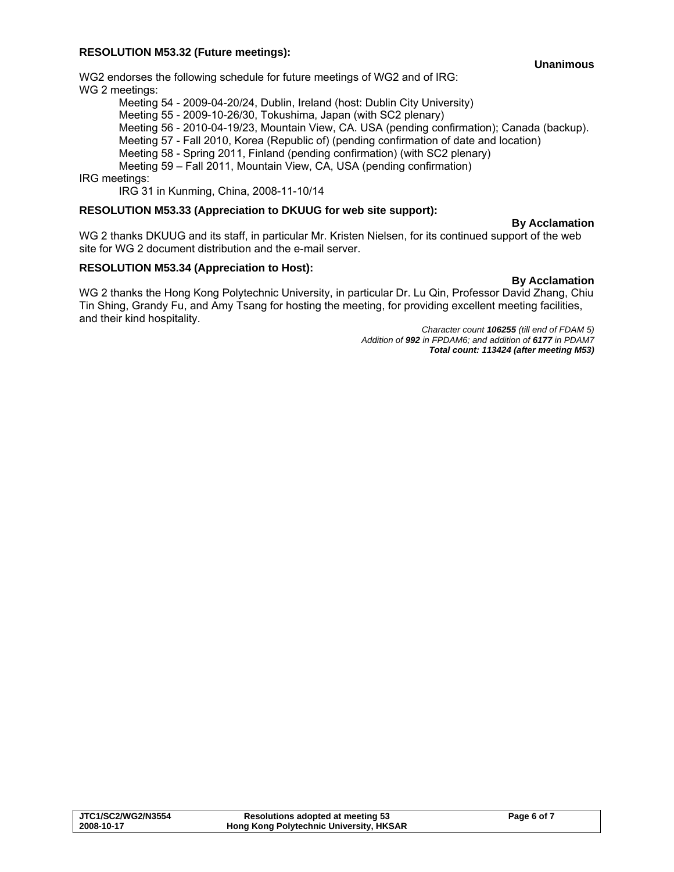#### **RESOLUTION M53.32 (Future meetings):**

**Unanimous** 

WG2 endorses the following schedule for future meetings of WG2 and of IRG: WG 2 meetings:

Meeting 54 - 2009-04-20/24, Dublin, Ireland (host: Dublin City University)

Meeting 55 - 2009-10-26/30, Tokushima, Japan (with SC2 plenary)

Meeting 56 - 2010-04-19/23, Mountain View, CA. USA (pending confirmation); Canada (backup).

Meeting 57 - Fall 2010, Korea (Republic of) (pending confirmation of date and location)

Meeting 58 - Spring 2011, Finland (pending confirmation) (with SC2 plenary)

Meeting 59 – Fall 2011, Mountain View, CA, USA (pending confirmation)

IRG meetings:

IRG 31 in Kunming, China, 2008-11-10/14

#### **RESOLUTION M53.33 (Appreciation to DKUUG for web site support):**

#### **By Acclamation**

WG 2 thanks DKUUG and its staff, in particular Mr. Kristen Nielsen, for its continued support of the web site for WG 2 document distribution and the e-mail server.

### **RESOLUTION M53.34 (Appreciation to Host):**

**By Acclamation**  WG 2 thanks the Hong Kong Polytechnic University, in particular Dr. Lu Qin, Professor David Zhang, Chiu Tin Shing, Grandy Fu, and Amy Tsang for hosting the meeting, for providing excellent meeting facilities, and their kind hospitality.

*Character count 106255 (till end of FDAM 5) Addition of 992 in FPDAM6; and addition of 6177 in PDAM7 Total count: 113424 (after meeting M53)* 

| <b>JTC1/SC2/WG2/N3554</b> | <b>Resolutions adopted at meeting 53</b>       | Page 6 of 7 |
|---------------------------|------------------------------------------------|-------------|
| 2008-10-17                | <b>Hong Kong Polytechnic University, HKSAR</b> |             |